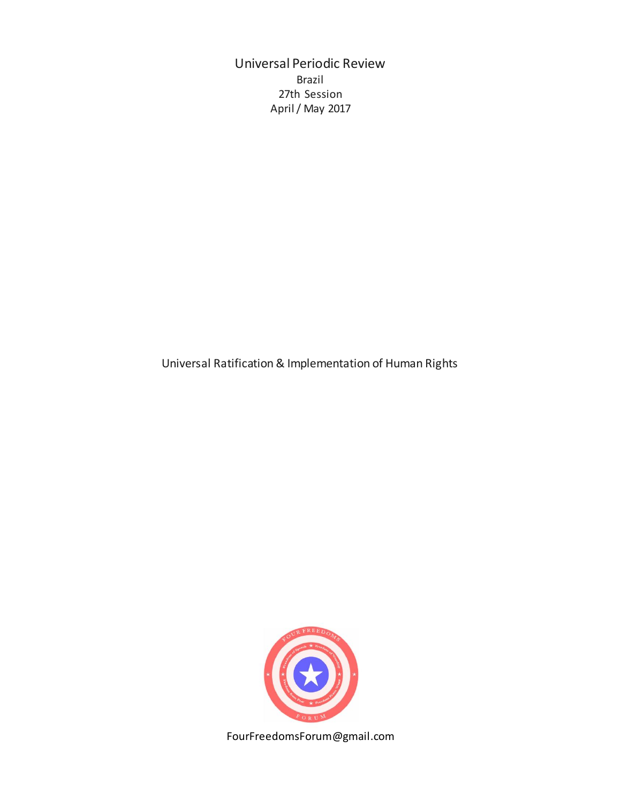Universal Periodic Review Brazil 27th Session April / May 2017

Universal Ratification & Implementation of Human Rights



FourFreedomsForum@gmail.com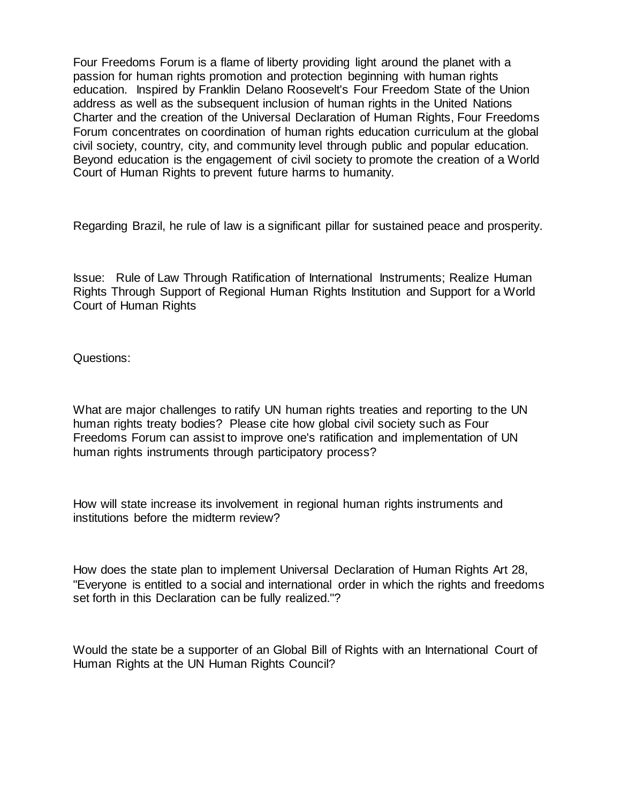Four Freedoms Forum is a flame of liberty providing light around the planet with a passion for human rights promotion and protection beginning with human rights education. Inspired by Franklin Delano Roosevelt's Four Freedom State of the Union address as well as the subsequent inclusion of human rights in the United Nations Charter and the creation of the Universal Declaration of Human Rights, Four Freedoms Forum concentrates on coordination of human rights education curriculum at the global civil society, country, city, and community level through public and popular education. Beyond education is the engagement of civil society to promote the creation of a World Court of Human Rights to prevent future harms to humanity.

Regarding Brazil, he rule of law is a significant pillar for sustained peace and prosperity.

Issue: Rule of Law Through Ratification of International Instruments; Realize Human Rights Through Support of Regional Human Rights Institution and Support for a World Court of Human Rights

Questions:

What are major challenges to ratify UN human rights treaties and reporting to the UN human rights treaty bodies? Please cite how global civil society such as Four Freedoms Forum can assist to improve one's ratification and implementation of UN human rights instruments through participatory process?

How will state increase its involvement in regional human rights instruments and institutions before the midterm review?

How does the state plan to implement Universal Declaration of Human Rights Art 28, "Everyone is entitled to a social and international order in which the rights and freedoms set forth in this Declaration can be fully realized."?

Would the state be a supporter of an Global Bill of Rights with an International Court of Human Rights at the UN Human Rights Council?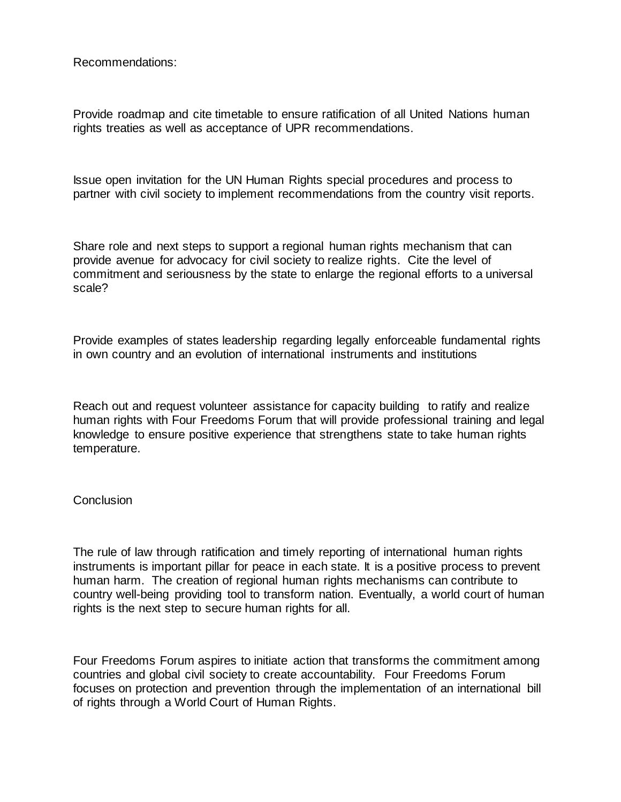Recommendations:

Provide roadmap and cite timetable to ensure ratification of all United Nations human rights treaties as well as acceptance of UPR recommendations.

Issue open invitation for the UN Human Rights special procedures and process to partner with civil society to implement recommendations from the country visit reports.

Share role and next steps to support a regional human rights mechanism that can provide avenue for advocacy for civil society to realize rights. Cite the level of commitment and seriousness by the state to enlarge the regional efforts to a universal scale?

Provide examples of states leadership regarding legally enforceable fundamental rights in own country and an evolution of international instruments and institutions

Reach out and request volunteer assistance for capacity building to ratify and realize human rights with Four Freedoms Forum that will provide professional training and legal knowledge to ensure positive experience that strengthens state to take human rights temperature.

## **Conclusion**

The rule of law through ratification and timely reporting of international human rights instruments is important pillar for peace in each state. It is a positive process to prevent human harm. The creation of regional human rights mechanisms can contribute to country well-being providing tool to transform nation. Eventually, a world court of human rights is the next step to secure human rights for all.

Four Freedoms Forum aspires to initiate action that transforms the commitment among countries and global civil society to create accountability. Four Freedoms Forum focuses on protection and prevention through the implementation of an international bill of rights through a World Court of Human Rights.